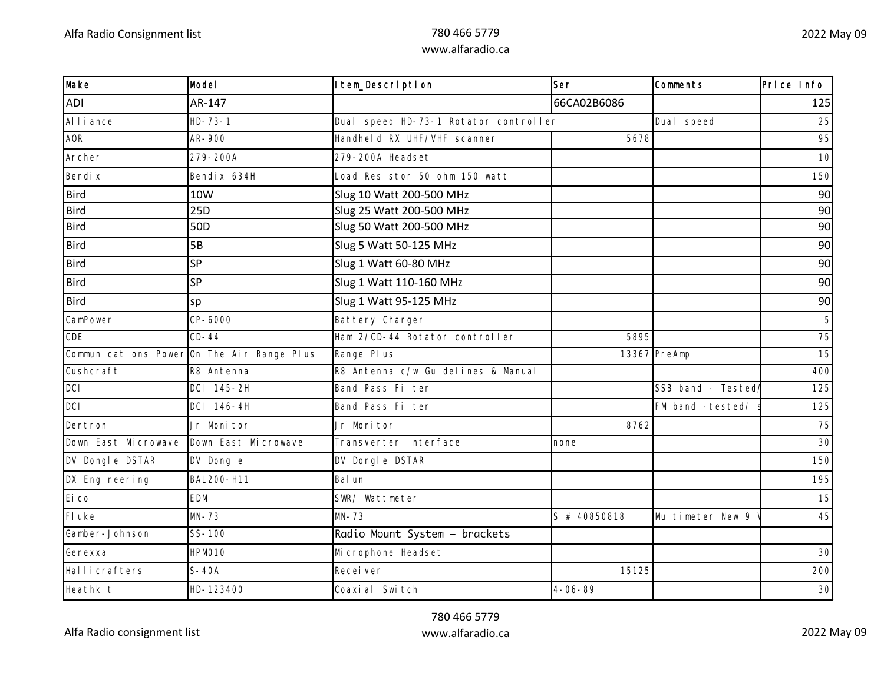| Make                | Model                                      | Item_Description                      | Ser           | Comments          | Price Info |
|---------------------|--------------------------------------------|---------------------------------------|---------------|-------------------|------------|
| <b>ADI</b>          | AR-147                                     |                                       | 66CA02B6086   |                   | 125        |
| Al I i ance         | $HD - 73 - 1$                              | Dual speed HD-73-1 Rotator controller |               | Dual speed        | 25         |
| <b>AOR</b>          | AR-900                                     | Handheld RX UHF/VHF scanner           | 5678          |                   | 95         |
| Archer              | 279-200A                                   | 279-200A Headset                      |               |                   | 10         |
| Bendi x             | Bendi x 634H                               | Load Resistor 50 ohm 150 watt         |               |                   | 150        |
| <b>Bird</b>         | 10W                                        | Slug 10 Watt 200-500 MHz              |               |                   | 90         |
| <b>Bird</b>         | 25 <sub>D</sub>                            | Slug 25 Watt 200-500 MHz              |               |                   | 90         |
| <b>Bird</b>         | 50 <sub>D</sub>                            | Slug 50 Watt 200-500 MHz              |               |                   | 90         |
| <b>Bird</b>         | 5B                                         | Slug 5 Watt 50-125 MHz                |               |                   | 90         |
| <b>Bird</b>         | SP                                         | Slug 1 Watt 60-80 MHz                 |               |                   | 90         |
| <b>Bird</b>         | SP                                         | Slug 1 Watt 110-160 MHz               |               |                   | 90         |
| <b>Bird</b>         | sp                                         | Slug 1 Watt 95-125 MHz                |               |                   | 90         |
| CamPower            | CP-6000                                    | Battery Charger                       |               |                   |            |
| CDE                 | $CD-44$                                    | Ham 2/CD-44 Rotator controller        | 5895          |                   | 75         |
|                     | Communications Power On The Air Range Plus | Range Pl us                           |               | 13367 PreAmp      | 15         |
| Cushcraft           | R8 Antenna                                 | R8 Antenna c/w Guidelines & Manual    |               |                   | 400        |
| DCI                 | DCI 145-2H                                 | Band Pass Filter                      |               | SSB band - Tested | 125        |
| <b>DCI</b>          | DCI 146-4H                                 | Band Pass Filter                      |               | FM band -tested/  | 125        |
| Dentron             | Jr Monitor                                 | Jr Monitor                            | 8762          |                   | 75         |
| Down East Microwave | Down East Microwave                        | Transverter interface                 | none          |                   | 30         |
| DV Dongle DSTAR     | DV Dongle                                  | DV Dongle DSTAR                       |               |                   | 150        |
| DX Engi neering     | BAL200-H11                                 | Bal un                                |               |                   | 195        |
| Ei co               | <b>EDM</b>                                 | SWR/ Wattmeter                        |               |                   | 15         |
| FI uke              | $MN-73$                                    | $MN-73$                               | S # 40850818  | Multimeter New 9  | 45         |
| Gamber-Johnson      | $SS-100$                                   | Radio Mount System - brackets         |               |                   |            |
| Genexxa             | HPM010                                     | Mi crophone Headset                   |               |                   | 30         |
| Hallicrafters       | $S-40A$                                    | Recei ver                             | 15125         |                   | 200        |
| Heathki t           | HD-123400                                  | Coaxi al Switch                       | $4 - 06 - 89$ |                   | 30         |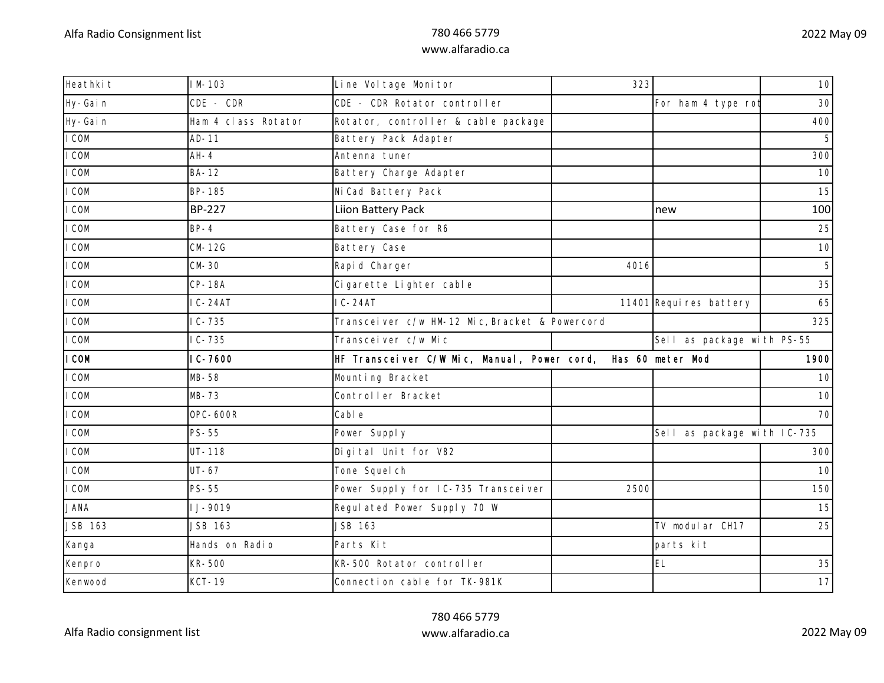| Heathki t      | $1 M - 103$         | Line Vol tage Monitor                          | 323  |                             | 10                         |  |
|----------------|---------------------|------------------------------------------------|------|-----------------------------|----------------------------|--|
| Hy-Gain        | $CDE - CDR$         | CDE - CDR Rotator controller                   |      | For ham 4 type ro           | 30                         |  |
| Hy-Gain        | Ham 4 class Rotator | Rotator, controller & cable package            |      |                             | 400                        |  |
| I COM          | $AD-11$             | Battery Pack Adapter                           |      |                             |                            |  |
| I COM          | $AH-4$              | Antenna tuner                                  |      |                             | 300                        |  |
| I COM          | <b>BA-12</b>        | Battery Charge Adapter                         |      |                             | 10                         |  |
| I COM          | BP-185              | Ni Cad Battery Pack                            |      |                             | 15                         |  |
| I COM          | <b>BP-227</b>       | Liion Battery Pack                             |      | new                         | 100                        |  |
| I COM          | $BP-4$              | Battery Case for R6                            |      |                             | 25                         |  |
| I COM          | $CM-12G$            | Battery Case                                   |      |                             | 10                         |  |
| I COM          | $CM-30$             | Rapid Charger                                  | 4016 |                             |                            |  |
| I COM          | <b>CP-18A</b>       | Cigarette Lighter cable                        |      |                             | 35                         |  |
| I COM          | $IC-24AT$           | $IC-24AT$                                      |      | 11401 Requires battery      | 65                         |  |
| I COM          | $IC - 735$          | Transceiver c/w HM-12 Mic, Bracket & Powercord |      |                             | 325                        |  |
| I COM          | $IC - 735$          | Transceiver c/w Mic                            |      |                             | Sell as package with PS-55 |  |
| I COM          | $IC-7600$           | HF Transcelver C/W Mic, Manual, Power cord,    |      | Has 60 meter Mod            | 1900                       |  |
| I COM          | $MB-58$             | Mounting Bracket                               |      |                             | 10                         |  |
| I COM          | $MB-73$             | Controller Bracket                             |      |                             | 10                         |  |
| I COM          | <b>OPC-600R</b>     | Cabl e                                         |      |                             | 70                         |  |
| I COM          | $PS-55$             | Power Supply                                   |      | Sell as package with IC-735 |                            |  |
| I COM          | $UT - 118$          | Digital Unit for V82                           |      |                             | 300                        |  |
| I COM          | $UT-67$             | Tone Squel ch                                  |      |                             | 10                         |  |
| I COM          | $PS-55$             | Power Supply for IC-735 Transceiver            | 2500 |                             | 150                        |  |
| <b>JANA</b>    | I J-9019            | Regulated Power Supply 70 W                    |      |                             | 15                         |  |
| <b>JSB 163</b> | JSB 163             | JSB 163                                        |      | TV modul ar CH17            | 25                         |  |
| Kanga          | Hands on Radio      | Parts Kit                                      |      | parts kit                   |                            |  |
| Kenpro         | KR-500              | KR-500 Rotator controller                      |      | EL                          | 35                         |  |
|                |                     |                                                |      |                             |                            |  |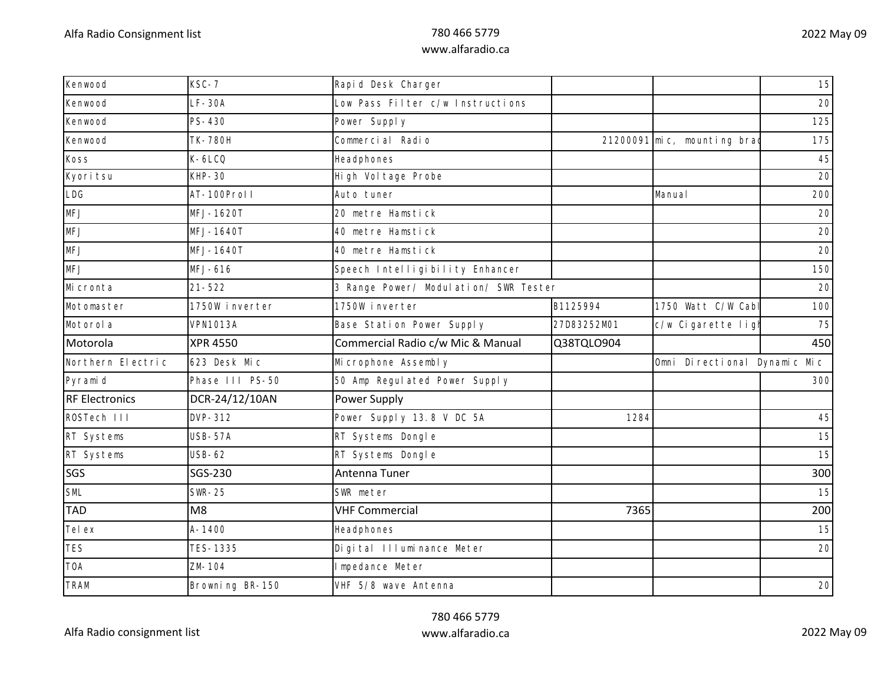| Kenwood               | $KSC-7$         | Rapid Desk Charger                     |             |                              | 15  |
|-----------------------|-----------------|----------------------------------------|-------------|------------------------------|-----|
| Kenwood               | $LF-30A$        | Low Pass Filter c/w Instructions       |             |                              | 20  |
| Kenwood               | $PS-430$        | Power Supply                           |             |                              | 125 |
| Kenwood               | <b>TK-780H</b>  | Commercial Radio                       |             | 21200091 mic, mounting brad  | 175 |
| <b>Koss</b>           | $K-6LCO$        | Headphones                             |             |                              | 45  |
| Kyori tsu             | $KHP-30$        | High Vol tage Probe                    |             |                              | 20  |
| LDG                   | AT-100Proll     | Auto tuner                             |             | Manual                       | 200 |
| <b>MFJ</b>            | MFJ-1620T       | 20 metre Hamstick                      |             |                              | 20  |
| <b>MFJ</b>            | MFJ-1640T       | 40 metre Hamstick                      |             |                              | 20  |
| <b>MFJ</b>            | MFJ-1640T       | 40 metre Hamstick                      |             |                              | 20  |
| <b>MFJ</b>            | MFJ-616         | Speech Intelligibility Enhancer        |             |                              | 150 |
| Mi cronta             | $21 - 522$      | 3 Range Power/ Modul ation/ SWR Tester |             |                              | 20  |
| Motomaster            | 1750W inverter  | 1750W inverter                         | B1125994    | 1750 Watt C/W Cab            | 100 |
| Motorol a             | <b>VPN1013A</b> | Base Station Power Supply              | 27D83252M01 | c/w Cigarette ligl           | 75  |
| Motorola              | <b>XPR 4550</b> | Commercial Radio c/w Mic & Manual      | Q38TQLO904  |                              | 450 |
| Northern Electric     | 623 Desk Mic    | Mi crophone Assembly                   |             | Omni Directional Dynamic Mic |     |
| Pyramid               | Phase III PS-50 | 50 Amp Regulated Power Supply          |             |                              | 300 |
| <b>RF Electronics</b> | DCR-24/12/10AN  | Power Supply                           |             |                              |     |
| ROSTech III           | DVP-312         | Power Supply 13.8 V DC 5A              | 1284        |                              | 45  |
| RT Systems            | <b>USB-57A</b>  | RT Systems Dongle                      |             |                              | 15  |
| RT Systems            | <b>USB-62</b>   | RT Systems Dongle                      |             |                              | 15  |
| SGS                   | SGS-230         | Antenna Tuner                          |             |                              | 300 |
| SML                   | <b>SWR-25</b>   | SWR meter                              |             |                              | 15  |
| <b>TAD</b>            | M <sub>8</sub>  | <b>VHF Commercial</b>                  | 7365        |                              | 200 |
| Tel ex                | $A - 1400$      | Headphones                             |             |                              | 15  |
| <b>TES</b>            | TES-1335        | Digital III uminance Meter             |             |                              | 20  |
| <b>TOA</b>            | ZM-104          | Impedance Meter                        |             |                              |     |
| <b>TRAM</b>           | Browning BR-150 | VHF 5/8 wave Antenna                   |             |                              | 20  |
|                       |                 |                                        |             |                              |     |